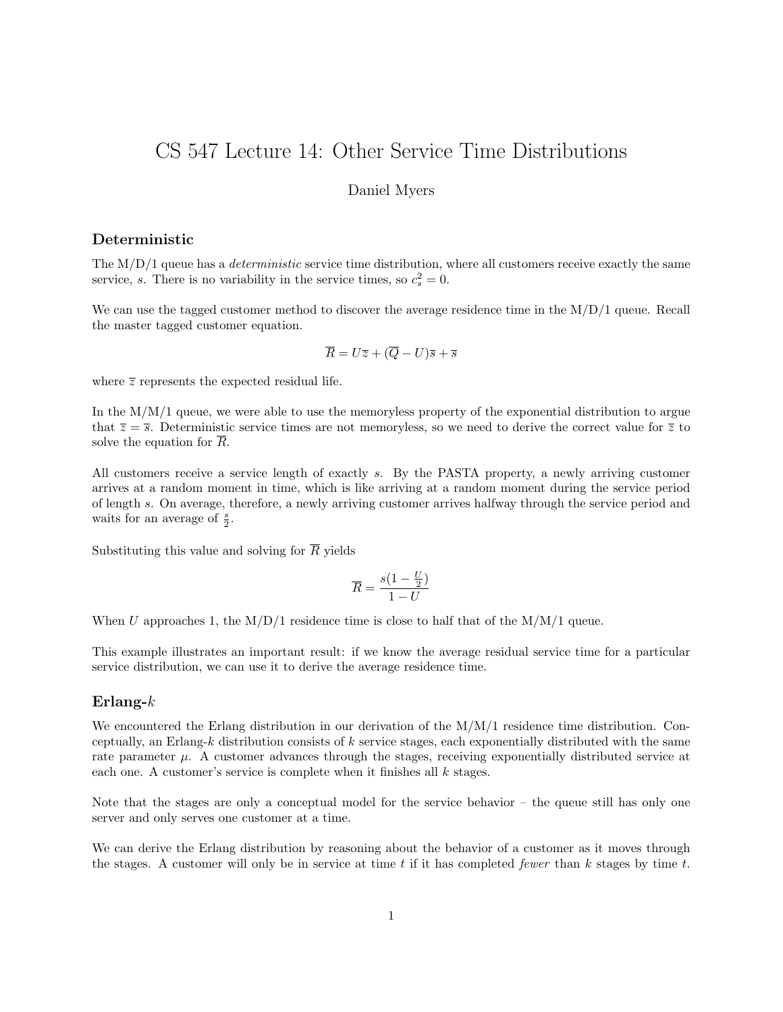# CS 547 Lecture 14: Other Service Time Distributions

## Daniel Myers

## Deterministic

The  $M/D/1$  queue has a *deterministic* service time distribution, where all customers receive exactly the same service, s. There is no variability in the service times, so  $c_s^2 = 0$ .

We can use the tagged customer method to discover the average residence time in the M/D/1 queue. Recall the master tagged customer equation.

$$
\overline{R} = U\overline{z} + (\overline{Q} - U)\overline{s} + \overline{s}
$$

where  $\overline{z}$  represents the expected residual life.

In the  $M/M/1$  queue, we were able to use the memoryless property of the exponential distribution to argue that  $\overline{z} = \overline{s}$ . Deterministic service times are not memoryless, so we need to derive the correct value for  $\overline{z}$  to solve the equation for  $\overline{R}$ .

All customers receive a service length of exactly s. By the PASTA property, a newly arriving customer arrives at a random moment in time, which is like arriving at a random moment during the service period of length s. On average, therefore, a newly arriving customer arrives halfway through the service period and waits for an average of  $\frac{s}{2}$ .

Substituting this value and solving for  $\overline{R}$  yields

$$
\overline{R} = \frac{s(1 - \frac{U}{2})}{1 - U}
$$

When U approaches 1, the  $M/D/1$  residence time is close to half that of the  $M/M/1$  queue.

This example illustrates an important result: if we know the average residual service time for a particular service distribution, we can use it to derive the average residence time.

### Erlang- $k$

We encountered the Erlang distribution in our derivation of the M/M/1 residence time distribution. Conceptually, an Erlang-k distribution consists of k service stages, each exponentially distributed with the same rate parameter  $\mu$ . A customer advances through the stages, receiving exponentially distributed service at each one. A customer's service is complete when it finishes all  $k$  stages.

Note that the stages are only a conceptual model for the service behavior – the queue still has only one server and only serves one customer at a time.

We can derive the Erlang distribution by reasoning about the behavior of a customer as it moves through the stages. A customer will only be in service at time t if it has completed fewer than  $k$  stages by time t.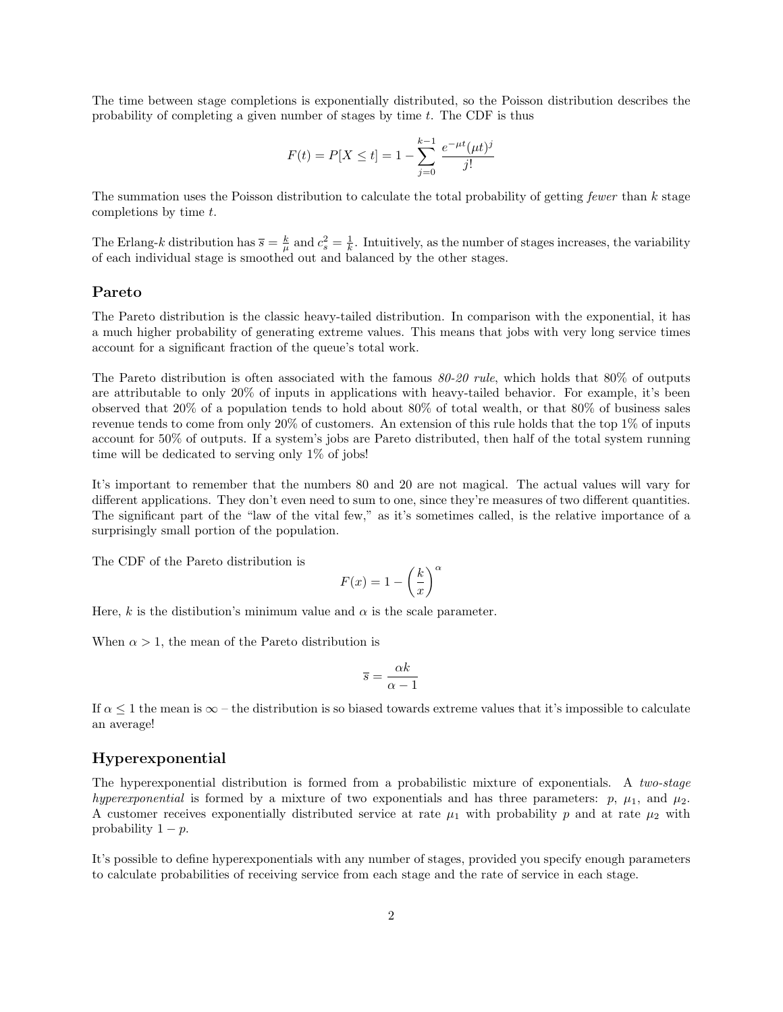The time between stage completions is exponentially distributed, so the Poisson distribution describes the probability of completing a given number of stages by time  $t$ . The CDF is thus

$$
F(t) = P[X \le t] = 1 - \sum_{j=0}^{k-1} \frac{e^{-\mu t}(\mu t)^j}{j!}
$$

The summation uses the Poisson distribution to calculate the total probability of getting fewer than  $k$  stage completions by time t.

The Erlang-k distribution has  $\bar{s} = \frac{k}{\mu}$  and  $c_s^2 = \frac{1}{k}$ . Intuitively, as the number of stages increases, the variability of each individual stage is smoothed out and balanced by the other stages.

#### Pareto

The Pareto distribution is the classic heavy-tailed distribution. In comparison with the exponential, it has a much higher probability of generating extreme values. This means that jobs with very long service times account for a significant fraction of the queue's total work.

The Pareto distribution is often associated with the famous  $80\n-20$  rule, which holds that  $80\%$  of outputs are attributable to only 20% of inputs in applications with heavy-tailed behavior. For example, it's been observed that 20% of a population tends to hold about 80% of total wealth, or that 80% of business sales revenue tends to come from only 20% of customers. An extension of this rule holds that the top 1% of inputs account for 50% of outputs. If a system's jobs are Pareto distributed, then half of the total system running time will be dedicated to serving only 1% of jobs!

It's important to remember that the numbers 80 and 20 are not magical. The actual values will vary for different applications. They don't even need to sum to one, since they're measures of two different quantities. The significant part of the "law of the vital few," as it's sometimes called, is the relative importance of a surprisingly small portion of the population.

The CDF of the Pareto distribution is

$$
F(x) = 1 - \left(\frac{k}{x}\right)^{\alpha}
$$

Here, k is the distibution's minimum value and  $\alpha$  is the scale parameter.

When  $\alpha > 1$ , the mean of the Pareto distribution is

$$
\overline{s} = \frac{\alpha k}{\alpha - 1}
$$

If  $\alpha \leq 1$  the mean is  $\infty$  – the distribution is so biased towards extreme values that it's impossible to calculate an average!

#### Hyperexponential

The hyperexponential distribution is formed from a probabilistic mixture of exponentials. A two-stage hyperexponential is formed by a mixture of two exponentials and has three parameters:  $p, \mu_1$ , and  $\mu_2$ . A customer receives exponentially distributed service at rate  $\mu_1$  with probability p and at rate  $\mu_2$  with probability  $1 - p$ .

It's possible to define hyperexponentials with any number of stages, provided you specify enough parameters to calculate probabilities of receiving service from each stage and the rate of service in each stage.